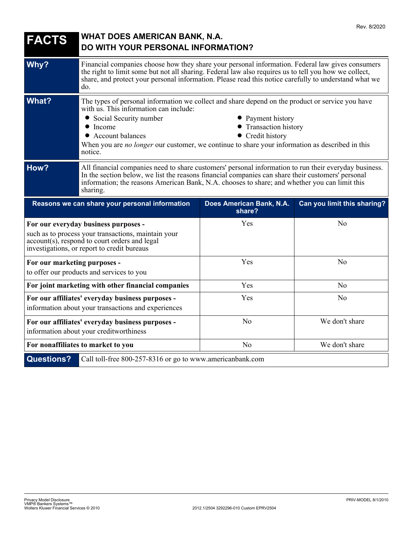| <b>FACTS</b>                 | <b>WHAT DOES AMERICAN BANK, N.A.</b><br><b>DO WITH YOUR PERSONAL INFORMATION?</b>                                                                                                                                                                                                                                                                                                                |                                    |                             |
|------------------------------|--------------------------------------------------------------------------------------------------------------------------------------------------------------------------------------------------------------------------------------------------------------------------------------------------------------------------------------------------------------------------------------------------|------------------------------------|-----------------------------|
| Why?                         | Financial companies choose how they share your personal information. Federal law gives consumers<br>the right to limit some but not all sharing. Federal law also requires us to tell you how we collect,<br>share, and protect your personal information. Please read this notice carefully to understand what we<br>do.                                                                        |                                    |                             |
| <b>What?</b>                 | The types of personal information we collect and share depend on the product or service you have<br>with us. This information can include:<br>• Social Security number<br>• Payment history<br>• Transaction history<br>$\bullet$ Income<br>• Credit history<br>• Account balances<br>When you are no longer our customer, we continue to share your information as described in this<br>notice. |                                    |                             |
| How?                         | All financial companies need to share customers' personal information to run their everyday business.<br>In the section below, we list the reasons financial companies can share their customers' personal<br>information; the reasons American Bank, N.A. chooses to share; and whether you can limit this<br>sharing.                                                                          |                                    |                             |
|                              |                                                                                                                                                                                                                                                                                                                                                                                                  |                                    |                             |
|                              | Reasons we can share your personal information                                                                                                                                                                                                                                                                                                                                                   | Does American Bank, N.A.<br>share? | Can you limit this sharing? |
|                              | For our everyday business purposes -<br>such as to process your transactions, maintain your<br>account(s), respond to court orders and legal<br>investigations, or report to credit bureaus                                                                                                                                                                                                      | Yes                                | No                          |
| For our marketing purposes - | to offer our products and services to you                                                                                                                                                                                                                                                                                                                                                        | Yes                                | No                          |
|                              | For joint marketing with other financial companies                                                                                                                                                                                                                                                                                                                                               | Yes                                | No                          |
|                              | For our affiliates' everyday business purposes -<br>information about your transactions and experiences                                                                                                                                                                                                                                                                                          | Yes                                | N <sub>o</sub>              |
|                              | For our affiliates' everyday business purposes -<br>information about your creditworthiness                                                                                                                                                                                                                                                                                                      | N <sub>o</sub>                     | We don't share              |
|                              | For nonaffiliates to market to you                                                                                                                                                                                                                                                                                                                                                               | N <sub>o</sub>                     | We don't share              |